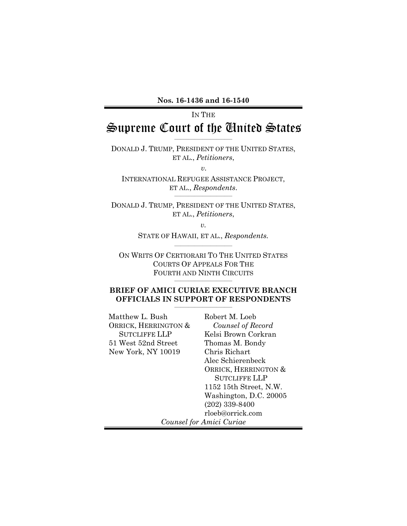#### **Nos. 16-1436 and 16-1540**

# IN THE Supreme Court of the United States

\_\_\_\_\_\_\_\_\_\_\_\_\_\_\_\_\_\_\_\_\_\_\_\_\_\_\_\_\_

DONALD J. TRUMP, PRESIDENT OF THE UNITED STATES, ET AL., *Petitioners*,

*v.*

INTERNATIONAL REFUGEE ASSISTANCE PROJECT, ET AL., *Respondents*.

DONALD J. TRUMP, PRESIDENT OF THE UNITED STATES, ET AL., *Petitioners*,

*v.* 

STATE OF HAWAII, ET AL., *Respondents.* \_\_\_\_\_\_\_\_\_\_\_\_\_\_\_\_\_\_\_\_\_\_\_\_\_\_\_\_\_

ON WRITS OF CERTIORARI TO THE UNITED STATES COURTS OF APPEALS FOR THE FOURTH AND NINTH CIRCUITS

\_\_\_\_\_\_\_\_\_\_\_\_\_\_\_\_\_\_\_\_\_\_\_\_\_\_\_\_\_

#### **BRIEF OF AMICI CURIAE EXECUTIVE BRANCH OFFICIALS IN SUPPORT OF RESPONDENTS** \_\_\_\_\_\_\_\_\_\_\_\_\_\_\_\_\_\_\_\_\_\_\_\_\_\_\_\_\_

| Matthew L. Bush      | Robert M. Loeb           |
|----------------------|--------------------------|
| ORRICK, HERRINGTON & | Counsel of Record        |
| <b>SUTCLIFFE LLP</b> | Kelsi Brown Corkran      |
| 51 West 52nd Street  | Thomas M. Bondy          |
| New York, NY 10019   | Chris Richart            |
|                      | Alec Schierenbeck        |
|                      | ORRICK, HERRINGTON &     |
|                      | <b>SUTCLIFFE LLP</b>     |
|                      | 1152 15th Street, N.W.   |
|                      | Washington, D.C. 20005   |
|                      | $(202)$ 339-8400         |
|                      | rloeb@orrick.com         |
|                      | Counsel for Amici Curiae |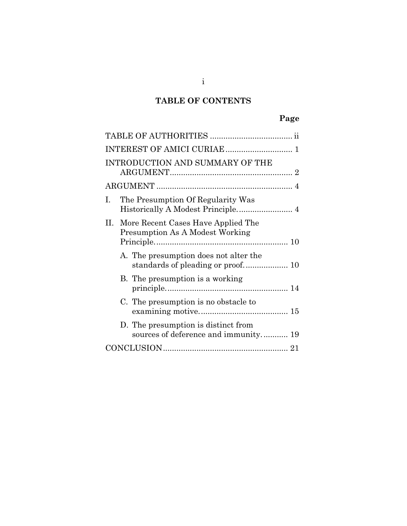# **TABLE OF CONTENTS**

# **Page**

| INTRODUCTION AND SUMMARY OF THE                                                          |
|------------------------------------------------------------------------------------------|
|                                                                                          |
| The Presumption Of Regularity Was<br>$\mathbf{I}$ .<br>Historically A Modest Principle 4 |
| II. More Recent Cases Have Applied The<br>Presumption As A Modest Working                |
| A. The presumption does not alter the                                                    |
| B. The presumption is a working                                                          |
| C. The presumption is no obstacle to                                                     |
| D. The presumption is distinct from<br>sources of deference and immunity 19              |
|                                                                                          |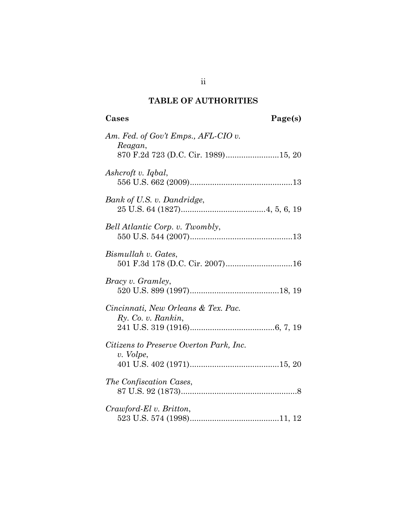# **TABLE OF AUTHORITIES**

| Am. Fed. of Gov't Emps., AFL-CIO v.<br>Reagan,            |
|-----------------------------------------------------------|
| 870 F.2d 723 (D.C. Cir. 1989)15, 20                       |
| Ashcroft v. Iqbal,                                        |
| Bank of U.S. v. Dandridge,                                |
| Bell Atlantic Corp. v. Twombly,                           |
| Bismullah v. Gates,<br>501 F.3d 178 (D.C. Cir. 2007)16    |
| <i>Bracy v. Gramley,</i>                                  |
| Cincinnati, New Orleans & Tex. Pac.<br>Ry. Co. v. Rankin, |
| Citizens to Preserve Overton Park, Inc.<br>v. Volpe,      |
| The Confiscation Cases,                                   |
| Crawford-El v. Britton,                                   |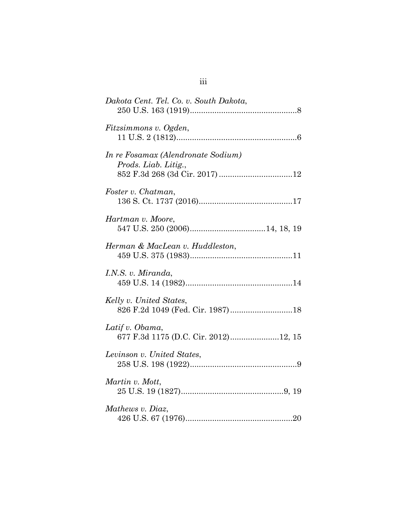| Dakota Cent. Tel. Co. v. South Dakota,                      |
|-------------------------------------------------------------|
| Fitzsimmons v. Ogden,                                       |
| In re Fosamax (Alendronate Sodium)<br>Prods. Liab. Litig.,  |
| Foster v. Chatman,                                          |
| Hartman v. Moore,                                           |
| Herman & MacLean v. Huddleston,                             |
| I.N.S. v. Miranda,                                          |
| Kelly v. United States,<br>826 F.2d 1049 (Fed. Cir. 1987)18 |
| Latif v. Obama,<br>677 F.3d 1175 (D.C. Cir. 2012)12, 15     |
| Levinson v. United States,                                  |
| Martin v. Mott,                                             |
| Mathews v. Diaz,                                            |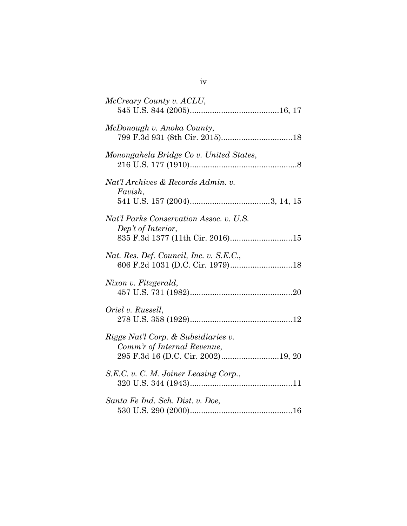| McCreary County v. ACLU,                                                                          |
|---------------------------------------------------------------------------------------------------|
| McDonough v. Anoka County,                                                                        |
| Monongahela Bridge Co v. United States,                                                           |
| Nat'l Archives & Records Admin. v.<br>Favish,                                                     |
| Nat'l Parks Conservation Assoc. v. U.S.<br>Dep't of Interior,<br>835 F.3d 1377 (11th Cir. 2016)15 |
| Nat. Res. Def. Council, Inc. v. S.E.C.,<br>606 F.2d 1031 (D.C. Cir. 1979)18                       |
| Nixon v. Fitzgerald,                                                                              |
| Oriel v. Russell,                                                                                 |
| Riggs Nat'l Corp. & Subsidiaries v.<br>Comm'r of Internal Revenue,                                |
| S.E.C. v. C. M. Joiner Leasing Corp.,                                                             |
| Santa Fe Ind. Sch. Dist. v. Doe,                                                                  |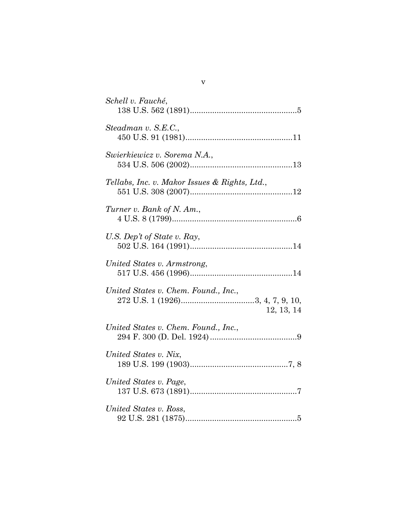| Schell v. Fauché,                                  |
|----------------------------------------------------|
| Steadman v. S.E.C.,                                |
| Swierkiewicz v. Sorema N.A.,                       |
| Tellabs, Inc. v. Makor Issues & Rights, Ltd.,      |
| Turner v. Bank of N. Am.,                          |
| U.S. Dep't of State v. Ray,                        |
| United States v. Armstrong,                        |
| United States v. Chem. Found., Inc.,<br>12, 13, 14 |
| United States v. Chem. Found., Inc.,               |
| United States v. Nix,                              |
| United States v. Page,                             |
| United States v. Ross,                             |

v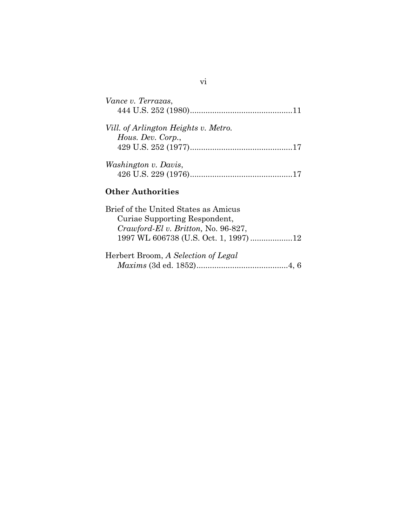| Vance v. Terrazas,                                        |
|-----------------------------------------------------------|
| Vill. of Arlington Heights v. Metro.<br>Hous. Dev. Corp., |
| <i>Washington v. Davis,</i>                               |

vi

## **Other Authorities**

| Brief of the United States as Amicus   |  |
|----------------------------------------|--|
| Curiae Supporting Respondent,          |  |
| $Crawford$ -El v. Britton, No. 96-827, |  |
| 1997 WL 606738 (U.S. Oct. 1, 1997)12   |  |
|                                        |  |
| Herbert Broom, A Selection of Legal    |  |
|                                        |  |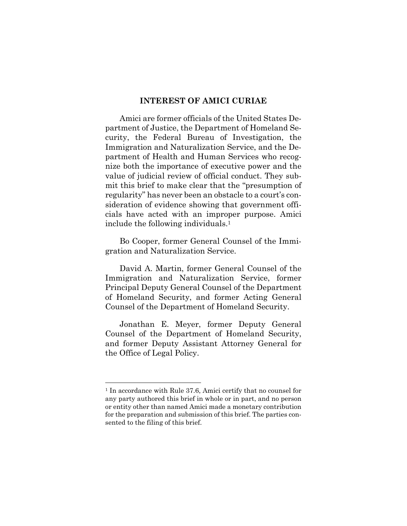#### **INTEREST OF AMICI CURIAE**

Amici are former officials of the United States Department of Justice, the Department of Homeland Security, the Federal Bureau of Investigation, the Immigration and Naturalization Service, and the Department of Health and Human Services who recognize both the importance of executive power and the value of judicial review of official conduct. They submit this brief to make clear that the "presumption of regularity" has never been an obstacle to a court's consideration of evidence showing that government officials have acted with an improper purpose. Amici include the following individuals.1

Bo Cooper, former General Counsel of the Immigration and Naturalization Service.

David A. Martin, former General Counsel of the Immigration and Naturalization Service, former Principal Deputy General Counsel of the Department of Homeland Security, and former Acting General Counsel of the Department of Homeland Security.

Jonathan E. Meyer, former Deputy General Counsel of the Department of Homeland Security, and former Deputy Assistant Attorney General for the Office of Legal Policy.

l

<sup>1</sup> In accordance with Rule 37.6, Amici certify that no counsel for any party authored this brief in whole or in part, and no person or entity other than named Amici made a monetary contribution for the preparation and submission of this brief. The parties consented to the filing of this brief.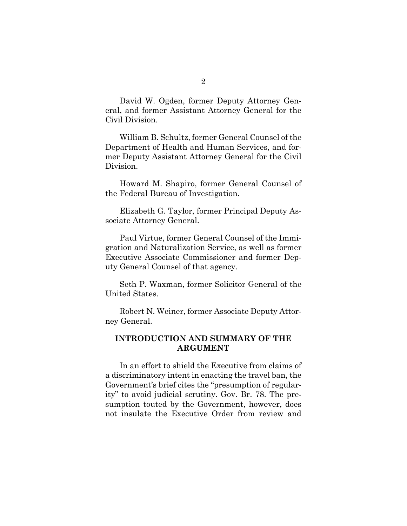David W. Ogden, former Deputy Attorney General, and former Assistant Attorney General for the Civil Division.

William B. Schultz, former General Counsel of the Department of Health and Human Services, and former Deputy Assistant Attorney General for the Civil Division.

Howard M. Shapiro, former General Counsel of the Federal Bureau of Investigation.

Elizabeth G. Taylor, former Principal Deputy Associate Attorney General.

Paul Virtue, former General Counsel of the Immigration and Naturalization Service, as well as former Executive Associate Commissioner and former Deputy General Counsel of that agency.

Seth P. Waxman, former Solicitor General of the United States.

Robert N. Weiner, former Associate Deputy Attorney General.

## **INTRODUCTION AND SUMMARY OF THE ARGUMENT**

In an effort to shield the Executive from claims of a discriminatory intent in enacting the travel ban, the Government's brief cites the "presumption of regularity" to avoid judicial scrutiny. Gov. Br. 78. The presumption touted by the Government, however, does not insulate the Executive Order from review and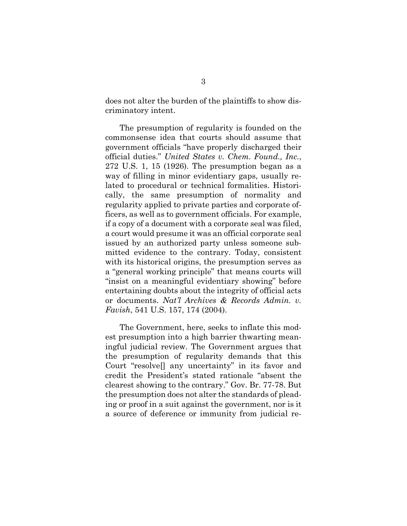does not alter the burden of the plaintiffs to show discriminatory intent.

The presumption of regularity is founded on the commonsense idea that courts should assume that government officials "have properly discharged their official duties." *United States v. Chem. Found., Inc.*, 272 U.S. 1, 15 (1926). The presumption began as a way of filling in minor evidentiary gaps, usually related to procedural or technical formalities. Historically, the same presumption of normality and regularity applied to private parties and corporate officers, as well as to government officials. For example, if a copy of a document with a corporate seal was filed, a court would presume it was an official corporate seal issued by an authorized party unless someone submitted evidence to the contrary. Today, consistent with its historical origins, the presumption serves as a "general working principle" that means courts will "insist on a meaningful evidentiary showing" before entertaining doubts about the integrity of official acts or documents. *Nat'l Archives & Records Admin. v. Favish*, 541 U.S. 157, 174 (2004).

The Government, here, seeks to inflate this modest presumption into a high barrier thwarting meaningful judicial review. The Government argues that the presumption of regularity demands that this Court "resolve[] any uncertainty" in its favor and credit the President's stated rationale "absent the clearest showing to the contrary." Gov. Br. 77-78. But the presumption does not alter the standards of pleading or proof in a suit against the government, nor is it a source of deference or immunity from judicial re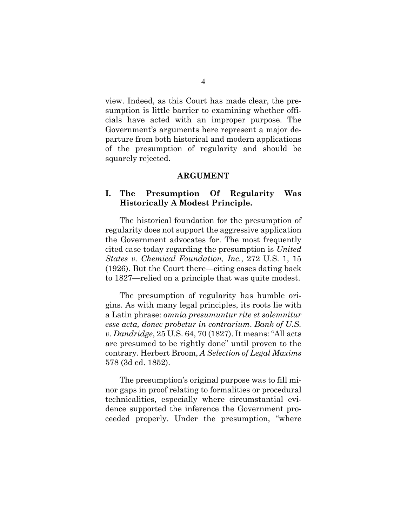view. Indeed, as this Court has made clear, the presumption is little barrier to examining whether officials have acted with an improper purpose. The Government's arguments here represent a major departure from both historical and modern applications of the presumption of regularity and should be squarely rejected.

#### **ARGUMENT**

## **I. The Presumption Of Regularity Was Historically A Modest Principle.**

The historical foundation for the presumption of regularity does not support the aggressive application the Government advocates for. The most frequently cited case today regarding the presumption is *United States v. Chemical Foundation, Inc.*, 272 U.S. 1, 15 (1926). But the Court there—citing cases dating back to 1827—relied on a principle that was quite modest.

The presumption of regularity has humble origins. As with many legal principles, its roots lie with a Latin phrase: *omnia presumuntur rite et solemnitur esse acta, donec probetur in contrarium*. *Bank of U.S. v. Dandridge*, 25 U.S. 64, 70 (1827). It means: "All acts are presumed to be rightly done" until proven to the contrary. Herbert Broom, *A Selection of Legal Maxims* 578 (3d ed. 1852).

The presumption's original purpose was to fill minor gaps in proof relating to formalities or procedural technicalities, especially where circumstantial evidence supported the inference the Government proceeded properly. Under the presumption, "where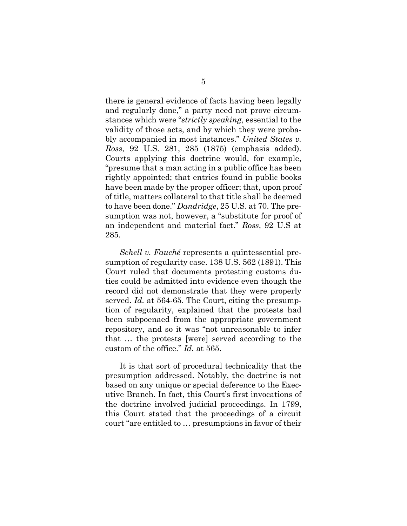there is general evidence of facts having been legally and regularly done," a party need not prove circumstances which were "*strictly speaking*, essential to the validity of those acts, and by which they were probably accompanied in most instances." *United States v. Ross*, 92 U.S. 281, 285 (1875) (emphasis added). Courts applying this doctrine would, for example, "presume that a man acting in a public office has been rightly appointed; that entries found in public books have been made by the proper officer; that, upon proof of title, matters collateral to that title shall be deemed to have been done." *Dandridge*, 25 U.S. at 70. The presumption was not, however, a "substitute for proof of an independent and material fact." *Ross*, 92 U.S at 285*.* 

*Schell v. Fauché* represents a quintessential presumption of regularity case. 138 U.S. 562 (1891). This Court ruled that documents protesting customs duties could be admitted into evidence even though the record did not demonstrate that they were properly served. *Id.* at 564-65. The Court, citing the presumption of regularity, explained that the protests had been subpoenaed from the appropriate government repository, and so it was "not unreasonable to infer that … the protests [were] served according to the custom of the office." *Id.* at 565.

It is that sort of procedural technicality that the presumption addressed. Notably, the doctrine is not based on any unique or special deference to the Executive Branch. In fact, this Court's first invocations of the doctrine involved judicial proceedings. In 1799, this Court stated that the proceedings of a circuit court "are entitled to … presumptions in favor of their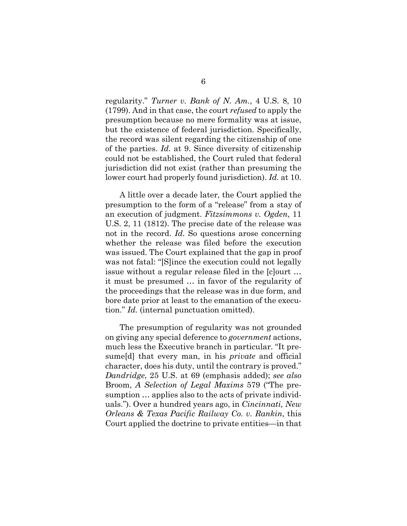regularity." *Turner v. Bank of N. Am.*, 4 U.S. 8, 10 (1799). And in that case, the court *refused* to apply the presumption because no mere formality was at issue, but the existence of federal jurisdiction. Specifically, the record was silent regarding the citizenship of one of the parties. *Id.* at 9. Since diversity of citizenship could not be established, the Court ruled that federal jurisdiction did not exist (rather than presuming the lower court had properly found jurisdiction). *Id.* at 10.

A little over a decade later, the Court applied the presumption to the form of a "release" from a stay of an execution of judgment. *Fitzsimmons v. Ogden*, 11 U.S. 2, 11 (1812). The precise date of the release was not in the record. *Id.* So questions arose concerning whether the release was filed before the execution was issued. The Court explained that the gap in proof was not fatal: "[S]ince the execution could not legally issue without a regular release filed in the [c]ourt … it must be presumed … in favor of the regularity of the proceedings that the release was in due form, and bore date prior at least to the emanation of the execution." *Id.* (internal punctuation omitted).

The presumption of regularity was not grounded on giving any special deference to *government* actions, much less the Executive branch in particular. "It presume[d] that every man, in his *private* and official character, does his duty, until the contrary is proved." *Dandridge*, 25 U.S. at 69 (emphasis added); *see also* Broom, *A Selection of Legal Maxims* 579 ("The presumption … applies also to the acts of private individuals."). Over a hundred years ago, in *Cincinnati, New Orleans & Texas Pacific Railway Co. v. Rankin*, this Court applied the doctrine to private entities—in that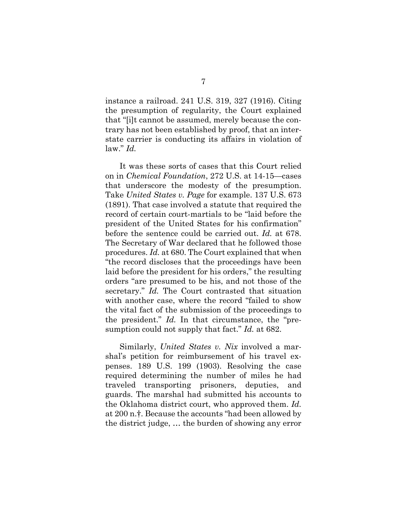instance a railroad. 241 U.S. 319, 327 (1916). Citing the presumption of regularity, the Court explained that "[i]t cannot be assumed, merely because the contrary has not been established by proof, that an interstate carrier is conducting its affairs in violation of law." *Id.*

It was these sorts of cases that this Court relied on in *Chemical Foundation*, 272 U.S. at 14-15—cases that underscore the modesty of the presumption. Take *United States v. Page* for example. 137 U.S. 673 (1891). That case involved a statute that required the record of certain court-martials to be "laid before the president of the United States for his confirmation" before the sentence could be carried out. *Id.* at 678. The Secretary of War declared that he followed those procedures. *Id.* at 680. The Court explained that when "the record discloses that the proceedings have been laid before the president for his orders," the resulting orders "are presumed to be his, and not those of the secretary." *Id.* The Court contrasted that situation with another case, where the record "failed to show the vital fact of the submission of the proceedings to the president." *Id.* In that circumstance, the "presumption could not supply that fact." *Id.* at 682.

Similarly, *United States v. Nix* involved a marshal's petition for reimbursement of his travel expenses. 189 U.S. 199 (1903). Resolving the case required determining the number of miles he had traveled transporting prisoners, deputies, and guards. The marshal had submitted his accounts to the Oklahoma district court, who approved them. *Id.* at 200 n.†. Because the accounts "had been allowed by the district judge, … the burden of showing any error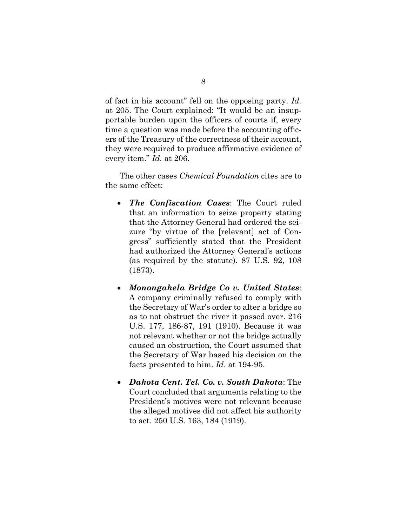of fact in his account" fell on the opposing party. *Id.*  at 205. The Court explained: "It would be an insupportable burden upon the officers of courts if, every time a question was made before the accounting officers of the Treasury of the correctness of their account, they were required to produce affirmative evidence of every item." *Id.* at 206.

The other cases *Chemical Foundation* cites are to the same effect:

- *The Confiscation Cases*: The Court ruled that an information to seize property stating that the Attorney General had ordered the seizure "by virtue of the [relevant] act of Congress" sufficiently stated that the President had authorized the Attorney General's actions (as required by the statute). 87 U.S. 92, 108 (1873).
- *Monongahela Bridge Co v. United States*: A company criminally refused to comply with the Secretary of War's order to alter a bridge so as to not obstruct the river it passed over. 216 U.S. 177, 186-87, 191 (1910). Because it was not relevant whether or not the bridge actually caused an obstruction, the Court assumed that the Secretary of War based his decision on the facts presented to him. *Id*. at 194-95.
- *Dakota Cent. Tel. Co. v. South Dakota*: The Court concluded that arguments relating to the President's motives were not relevant because the alleged motives did not affect his authority to act. 250 U.S. 163, 184 (1919).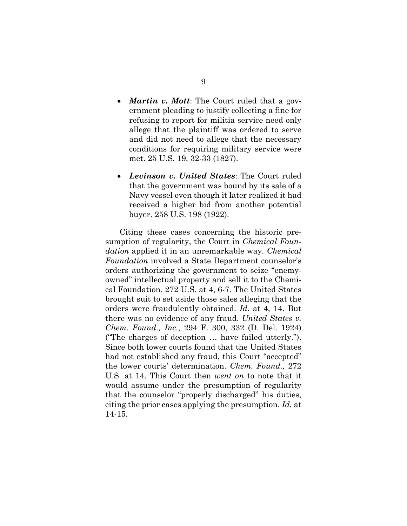- *Martin v. Mott*: The Court ruled that a government pleading to justify collecting a fine for refusing to report for militia service need only allege that the plaintiff was ordered to serve and did not need to allege that the necessary conditions for requiring military service were met. 25 U.S. 19, 32-33 (1827).
- *Levinson v. United States*: The Court ruled that the government was bound by its sale of a Navy vessel even though it later realized it had received a higher bid from another potential buyer. 258 U.S. 198 (1922).

Citing these cases concerning the historic presumption of regularity, the Court in *Chemical Foundation* applied it in an unremarkable way. *Chemical Foundation* involved a State Department counselor's orders authorizing the government to seize "enemyowned" intellectual property and sell it to the Chemical Foundation. 272 U.S. at 4, 6-7. The United States brought suit to set aside those sales alleging that the orders were fraudulently obtained. *Id.* at 4, 14. But there was no evidence of any fraud. *United States v. Chem. Found., Inc.*, 294 F. 300, 332 (D. Del. 1924) ("The charges of deception … have failed utterly."). Since both lower courts found that the United States had not established any fraud, this Court "accepted" the lower courts' determination. *Chem. Found.,* 272 U.S. at 14. This Court then *went on* to note that it would assume under the presumption of regularity that the counselor "properly discharged" his duties, citing the prior cases applying the presumption. *Id.* at 14-15.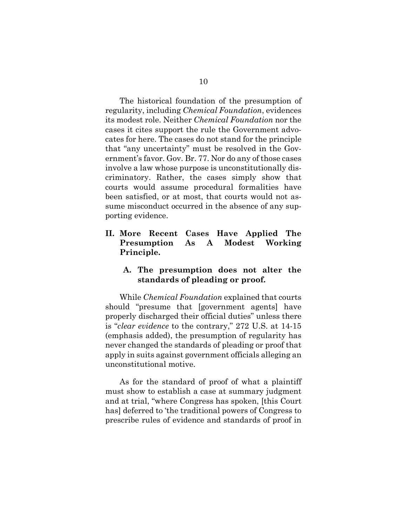The historical foundation of the presumption of regularity, including *Chemical Foundation*, evidences its modest role. Neither *Chemical Foundation* nor the cases it cites support the rule the Government advocates for here. The cases do not stand for the principle that "any uncertainty" must be resolved in the Government's favor. Gov. Br. 77. Nor do any of those cases involve a law whose purpose is unconstitutionally discriminatory. Rather, the cases simply show that courts would assume procedural formalities have been satisfied, or at most, that courts would not assume misconduct occurred in the absence of any supporting evidence.

## **II. More Recent Cases Have Applied The Presumption As A Modest Working Principle.**

### **A. The presumption does not alter the standards of pleading or proof.**

While *Chemical Foundation* explained that courts should "presume that [government agents] have properly discharged their official duties" unless there is "*clear evidence* to the contrary," 272 U.S. at 14-15 (emphasis added), the presumption of regularity has never changed the standards of pleading or proof that apply in suits against government officials alleging an unconstitutional motive.

As for the standard of proof of what a plaintiff must show to establish a case at summary judgment and at trial, "where Congress has spoken, [this Court has] deferred to 'the traditional powers of Congress to prescribe rules of evidence and standards of proof in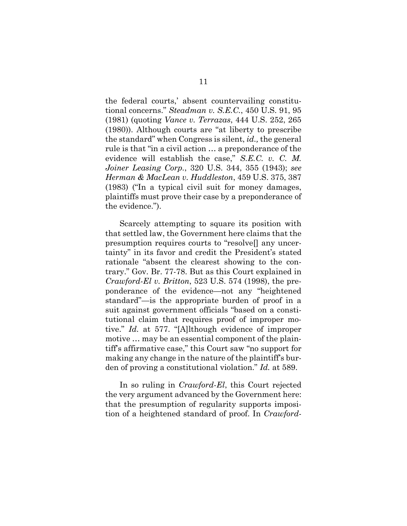the federal courts,' absent countervailing constitutional concerns." *Steadman v. S.E.C.*, 450 U.S. 91, 95 (1981) (quoting *Vance v. Terrazas*, 444 U.S. 252, 265 (1980)). Although courts are "at liberty to prescribe the standard" when Congress is silent, *id.,* the general rule is that "in a civil action … a preponderance of the evidence will establish the case," *S.E.C. v. C. M. Joiner Leasing Corp.*, 320 U.S. 344, 355 (1943); *see Herman & MacLean v. Huddleston*, 459 U.S. 375, 387 (1983) ("In a typical civil suit for money damages, plaintiffs must prove their case by a preponderance of the evidence.").

Scarcely attempting to square its position with that settled law, the Government here claims that the presumption requires courts to "resolve[] any uncertainty" in its favor and credit the President's stated rationale "absent the clearest showing to the contrary." Gov. Br. 77-78. But as this Court explained in *Crawford-El v. Britton*, 523 U.S. 574 (1998), the preponderance of the evidence—not any "heightened standard"—is the appropriate burden of proof in a suit against government officials "based on a constitutional claim that requires proof of improper motive." *Id.* at 577. "[A]lthough evidence of improper motive … may be an essential component of the plaintiff's affirmative case," this Court saw "no support for making any change in the nature of the plaintiff's burden of proving a constitutional violation." *Id.* at 589.

In so ruling in *Crawford-El*, this Court rejected the very argument advanced by the Government here: that the presumption of regularity supports imposition of a heightened standard of proof. In *Crawford-*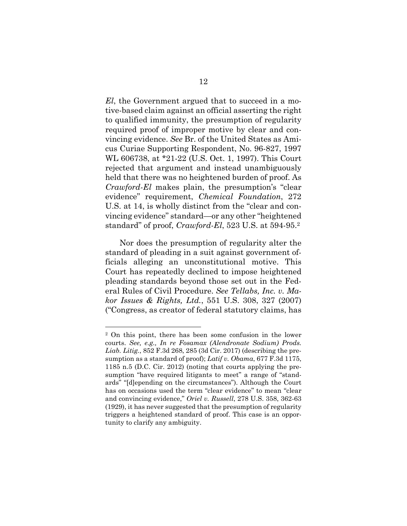*El*, the Government argued that to succeed in a motive-based claim against an official asserting the right to qualified immunity, the presumption of regularity required proof of improper motive by clear and convincing evidence. *See* Br. of the United States as Amicus Curiae Supporting Respondent, No. 96-827, 1997 WL 606738, at \*21-22 (U.S. Oct. 1, 1997). This Court rejected that argument and instead unambiguously held that there was no heightened burden of proof. As *Crawford-El* makes plain, the presumption's "clear evidence" requirement, *Chemical Foundation*, 272 U.S. at 14, is wholly distinct from the "clear and convincing evidence" standard—or any other "heightened standard" of proof, *Crawford-El*, 523 U.S. at 594-95.2

Nor does the presumption of regularity alter the standard of pleading in a suit against government officials alleging an unconstitutional motive. This Court has repeatedly declined to impose heightened pleading standards beyond those set out in the Federal Rules of Civil Procedure. *See Tellabs, Inc. v. Makor Issues & Rights, Ltd.*, 551 U.S. 308, 327 (2007) ("Congress, as creator of federal statutory claims, has

l

<sup>2</sup> On this point, there has been some confusion in the lower courts. *See, e.g., In re Fosamax (Alendronate Sodium) Prods. Liab. Litig.*, 852 F.3d 268, 285 (3d Cir. 2017) (describing the presumption as a standard of proof); *Latif v. Obama*, 677 F.3d 1175, 1185 n.5 (D.C. Cir. 2012) (noting that courts applying the presumption "have required litigants to meet" a range of "standards" "[d]epending on the circumstances"). Although the Court has on occasions used the term "clear evidence" to mean "clear and convincing evidence," *Oriel v. Russell*, 278 U.S. 358, 362-63 (1929), it has never suggested that the presumption of regularity triggers a heightened standard of proof. This case is an opportunity to clarify any ambiguity.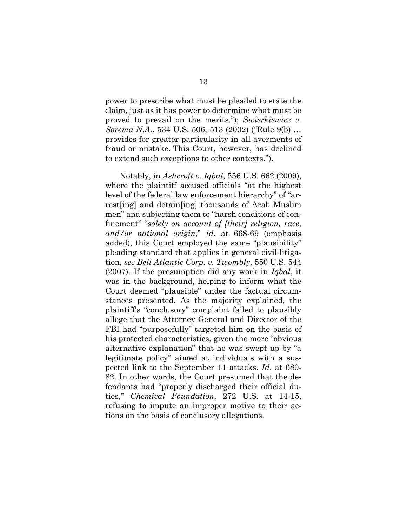power to prescribe what must be pleaded to state the claim, just as it has power to determine what must be proved to prevail on the merits."); *Swierkiewicz v. Sorema N.A.*, 534 U.S. 506, 513 (2002) ("Rule 9(b) … provides for greater particularity in all averments of fraud or mistake. This Court, however, has declined to extend such exceptions to other contexts.").

Notably, in *Ashcroft v. Iqbal*, 556 U.S. 662 (2009), where the plaintiff accused officials "at the highest level of the federal law enforcement hierarchy" of "arrest[ing] and detain[ing] thousands of Arab Muslim men" and subjecting them to "harsh conditions of confinement" "*solely on account of [their] religion, race, and/or national origin*," *id.* at 668-69 (emphasis added), this Court employed the same "plausibility" pleading standard that applies in general civil litigation, *see Bell Atlantic Corp. v. Twombly*, 550 U.S. 544 (2007). If the presumption did any work in *Iqbal*, it was in the background, helping to inform what the Court deemed "plausible" under the factual circumstances presented. As the majority explained, the plaintiff's "conclusory" complaint failed to plausibly allege that the Attorney General and Director of the FBI had "purposefully" targeted him on the basis of his protected characteristics, given the more "obvious alternative explanation" that he was swept up by "a legitimate policy" aimed at individuals with a suspected link to the September 11 attacks. *Id.* at 680- 82. In other words, the Court presumed that the defendants had "properly discharged their official duties," *Chemical Foundation*, 272 U.S. at 14-15, refusing to impute an improper motive to their actions on the basis of conclusory allegations.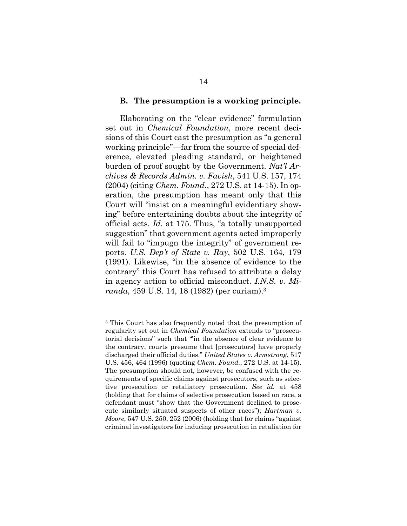#### **B. The presumption is a working principle.**

Elaborating on the "clear evidence" formulation set out in *Chemical Foundation*, more recent decisions of this Court cast the presumption as "a general working principle"—far from the source of special deference, elevated pleading standard, or heightened burden of proof sought by the Government. *Nat'l Archives & Records Admin. v. Favish*, 541 U.S. 157, 174 (2004) (citing *Chem. Found.*, 272 U.S. at 14-15). In operation, the presumption has meant only that this Court will "insist on a meaningful evidentiary showing" before entertaining doubts about the integrity of official acts. *Id.* at 175. Thus, "a totally unsupported suggestion" that government agents acted improperly will fail to "impugn the integrity" of government reports. *U.S. Dep't of State v. Ray*, 502 U.S. 164, 179 (1991). Likewise, "in the absence of evidence to the contrary" this Court has refused to attribute a delay in agency action to official misconduct. *I.N.S. v. Miranda*, 459 U.S. 14, 18 (1982) (per curiam).3

<sup>3</sup> This Court has also frequently noted that the presumption of regularity set out in *Chemical Foundation* extends to "prosecutorial decisions" such that "'in the absence of clear evidence to the contrary, courts presume that [prosecutors] have properly discharged their official duties." *United States v. Armstrong*, 517 U.S. 456, 464 (1996) (quoting *Chem. Found.*, 272 U.S. at 14-15). The presumption should not, however, be confused with the requirements of specific claims against prosecutors, such as selective prosecution or retaliatory prosecution. *See id.* at 458 (holding that for claims of selective prosecution based on race, a defendant must "show that the Government declined to prosecute similarly situated suspects of other races"); *Hartman v. Moore*, 547 U.S. 250, 252 (2006) (holding that for claims "against criminal investigators for inducing prosecution in retaliation for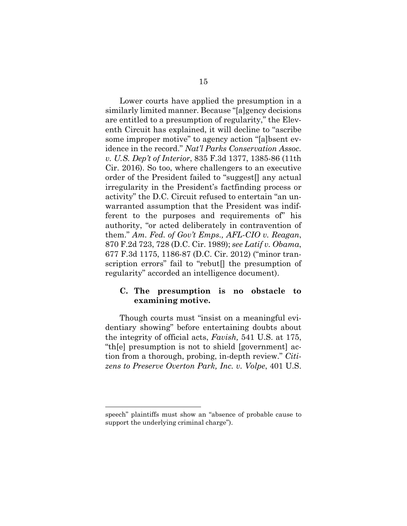Lower courts have applied the presumption in a similarly limited manner. Because "[a]gency decisions are entitled to a presumption of regularity," the Eleventh Circuit has explained, it will decline to "ascribe some improper motive" to agency action "[a]bsent evidence in the record." *Nat'l Parks Conservation Assoc. v. U.S. Dep't of Interior*, 835 F.3d 1377, 1385-86 (11th Cir. 2016). So too, where challengers to an executive order of the President failed to "suggest[] any actual irregularity in the President's factfinding process or activity" the D.C. Circuit refused to entertain "an unwarranted assumption that the President was indifferent to the purposes and requirements of" his authority, "or acted deliberately in contravention of them." *Am. Fed. of Gov't Emps., AFL-CIO v. Reagan*, 870 F.2d 723, 728 (D.C. Cir. 1989); *see Latif v. Obama*, 677 F.3d 1175, 1186-87 (D.C. Cir. 2012) ("minor transcription errors" fail to "rebut[] the presumption of regularity" accorded an intelligence document).

#### **C. The presumption is no obstacle to examining motive.**

Though courts must "insist on a meaningful evidentiary showing" before entertaining doubts about the integrity of official acts, *Favish,* 541 U.S. at 175, "th[e] presumption is not to shield [government] action from a thorough, probing, in-depth review." *Citizens to Preserve Overton Park, Inc. v. Volpe*, 401 U.S.

l

speech" plaintiffs must show an "absence of probable cause to support the underlying criminal charge").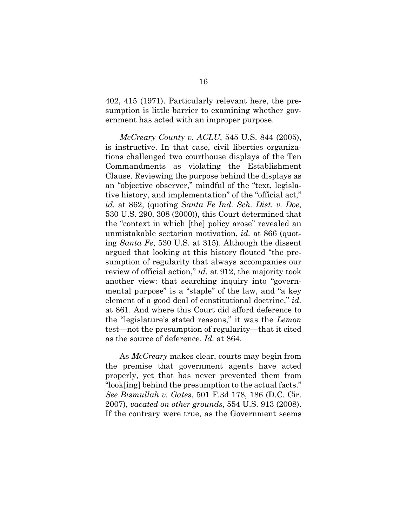402, 415 (1971). Particularly relevant here, the presumption is little barrier to examining whether government has acted with an improper purpose.

*McCreary County v. ACLU*, 545 U.S. 844 (2005), is instructive. In that case, civil liberties organizations challenged two courthouse displays of the Ten Commandments as violating the Establishment Clause. Reviewing the purpose behind the displays as an "objective observer," mindful of the "text, legislative history, and implementation" of the "official act," *id.* at 862, (quoting *Santa Fe Ind. Sch. Dist. v. Doe*, 530 U.S. 290, 308 (2000)), this Court determined that the "context in which [the] policy arose" revealed an unmistakable sectarian motivation, *id.* at 866 (quoting *Santa Fe*, 530 U.S. at 315). Although the dissent argued that looking at this history flouted "the presumption of regularity that always accompanies our review of official action," *id.* at 912, the majority took another view: that searching inquiry into "governmental purpose" is a "staple" of the law, and "a key element of a good deal of constitutional doctrine," *id.* at 861. And where this Court did afford deference to the "legislature's stated reasons," it was the *Lemon*  test—not the presumption of regularity—that it cited as the source of deference. *Id.* at 864.

As *McCreary* makes clear, courts may begin from the premise that government agents have acted properly, yet that has never prevented them from "look[ing] behind the presumption to the actual facts." *See Bismullah v. Gates*, 501 F.3d 178, 186 (D.C. Cir. 2007), *vacated on other grounds*, 554 U.S. 913 (2008). If the contrary were true, as the Government seems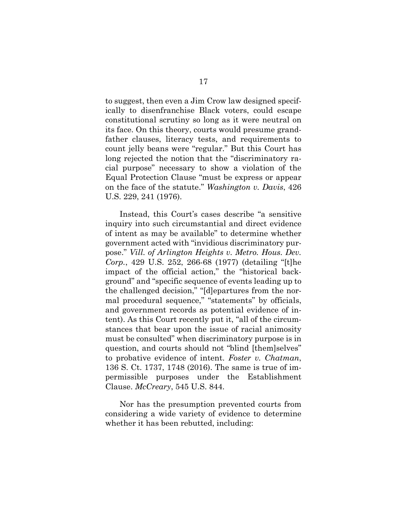to suggest, then even a Jim Crow law designed specifically to disenfranchise Black voters, could escape constitutional scrutiny so long as it were neutral on its face. On this theory, courts would presume grandfather clauses, literacy tests, and requirements to count jelly beans were "regular." But this Court has long rejected the notion that the "discriminatory racial purpose" necessary to show a violation of the Equal Protection Clause "must be express or appear on the face of the statute." *Washington v. Davis*, 426 U.S. 229, 241 (1976).

Instead, this Court's cases describe "a sensitive inquiry into such circumstantial and direct evidence of intent as may be available" to determine whether government acted with "invidious discriminatory purpose." *Vill. of Arlington Heights v. Metro. Hous. Dev. Corp.*, 429 U.S. 252, 266-68 (1977) (detailing "[t]he impact of the official action," the "historical background" and "specific sequence of events leading up to the challenged decision," "[d]epartures from the normal procedural sequence," "statements" by officials, and government records as potential evidence of intent). As this Court recently put it, "all of the circumstances that bear upon the issue of racial animosity must be consulted" when discriminatory purpose is in question, and courts should not "blind [them]selves" to probative evidence of intent. *Foster v. Chatman*, 136 S. Ct. 1737, 1748 (2016). The same is true of impermissible purposes under the Establishment Clause. *McCreary*, 545 U.S. 844.

Nor has the presumption prevented courts from considering a wide variety of evidence to determine whether it has been rebutted, including: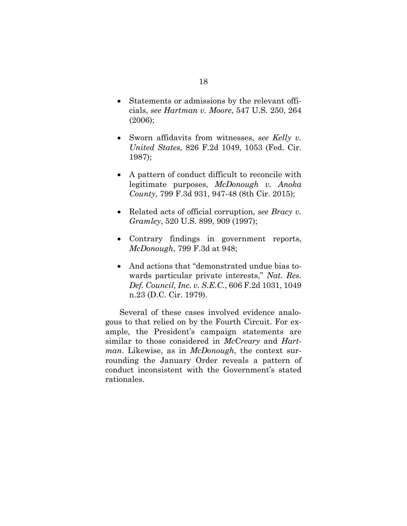- Statements or admissions by the relevant officials, *see Hartman v. Moore*, 547 U.S. 250, 264 (2006);
- Sworn affidavits from witnesses, *see Kelly v. United States*, 826 F.2d 1049, 1053 (Fed. Cir. 1987);
- A pattern of conduct difficult to reconcile with legitimate purposes, *McDonough v. Anoka County*, 799 F.3d 931, 947-48 (8th Cir. 2015);
- Related acts of official corruption, *see Bracy v. Gramley*, 520 U.S. 899, 909 (1997);
- Contrary findings in government reports, *McDonough*, 799 F.3d at 948;
- And actions that "demonstrated undue bias towards particular private interests," *Nat. Res. Def. Council, Inc. v. S.E.C.*, 606 F.2d 1031, 1049 n.23 (D.C. Cir. 1979).

Several of these cases involved evidence analogous to that relied on by the Fourth Circuit. For example, the President's campaign statements are similar to those considered in *McCreary* and *Hartman*. Likewise, as in *McDonough*, the context surrounding the January Order reveals a pattern of conduct inconsistent with the Government's stated rationales.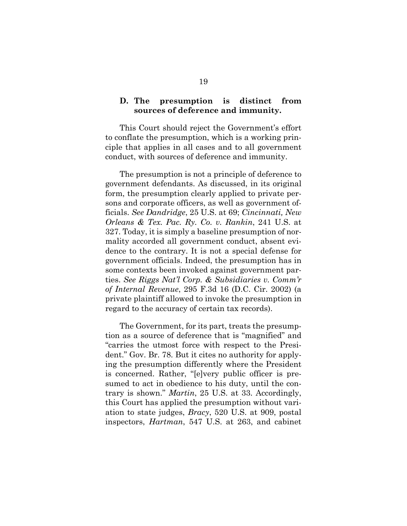#### **D. The presumption is distinct from sources of deference and immunity.**

This Court should reject the Government's effort to conflate the presumption, which is a working principle that applies in all cases and to all government conduct, with sources of deference and immunity.

The presumption is not a principle of deference to government defendants. As discussed, in its original form, the presumption clearly applied to private persons and corporate officers, as well as government officials. *See Dandridge*, 25 U.S. at 69; *Cincinnati, New Orleans & Tex. Pac. Ry. Co. v. Rankin*, 241 U.S. at 327. Today, it is simply a baseline presumption of normality accorded all government conduct, absent evidence to the contrary. It is not a special defense for government officials. Indeed, the presumption has in some contexts been invoked against government parties. *See Riggs Nat'l Corp. & Subsidiaries v. Comm'r of Internal Revenue*, 295 F.3d 16 (D.C. Cir. 2002) (a private plaintiff allowed to invoke the presumption in regard to the accuracy of certain tax records).

The Government, for its part, treats the presumption as a source of deference that is "magnified" and "carries the utmost force with respect to the President." Gov. Br. 78. But it cites no authority for applying the presumption differently where the President is concerned. Rather, "[e]very public officer is presumed to act in obedience to his duty, until the contrary is shown." *Martin*, 25 U.S. at 33. Accordingly, this Court has applied the presumption without variation to state judges, *Bracy*, 520 U.S. at 909, postal inspectors, *Hartman*, 547 U.S. at 263, and cabinet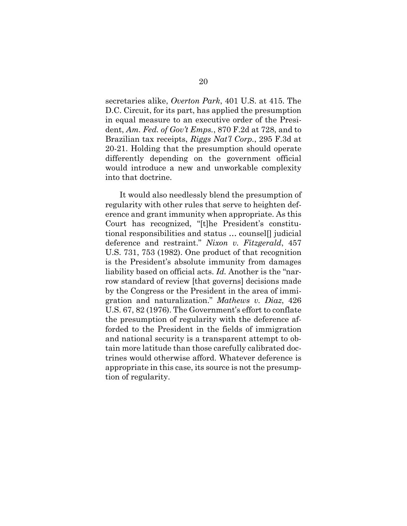secretaries alike, *Overton Park*, 401 U.S. at 415. The D.C. Circuit, for its part, has applied the presumption in equal measure to an executive order of the President, *Am. Fed. of Gov't Emps.*, 870 F.2d at 728, and to Brazilian tax receipts, *Riggs Nat'l Corp.*, 295 F.3d at 20-21. Holding that the presumption should operate differently depending on the government official would introduce a new and unworkable complexity into that doctrine.

It would also needlessly blend the presumption of regularity with other rules that serve to heighten deference and grant immunity when appropriate. As this Court has recognized, "[t]he President's constitutional responsibilities and status … counsel[] judicial deference and restraint." *Nixon v. Fitzgerald*, 457 U.S. 731, 753 (1982). One product of that recognition is the President's absolute immunity from damages liability based on official acts. *Id.* Another is the "narrow standard of review [that governs] decisions made by the Congress or the President in the area of immigration and naturalization." *Mathews v. Diaz*, 426 U.S. 67, 82 (1976). The Government's effort to conflate the presumption of regularity with the deference afforded to the President in the fields of immigration and national security is a transparent attempt to obtain more latitude than those carefully calibrated doctrines would otherwise afford. Whatever deference is appropriate in this case, its source is not the presumption of regularity.